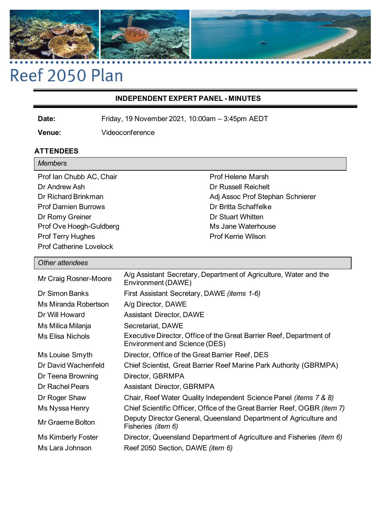

# Reef 2050 Plan

## **INDEPENDENT EXPERT PANEL - MINUTES**

**Date:** Friday, 19 November 2021, 10:00am – 3:45pm AEDT

**Venue:** Videoconference

# **ATTENDEES**

| <b>Members</b>                 |                                  |
|--------------------------------|----------------------------------|
| Prof Ian Chubb AC, Chair       | Prof Helene Marsh                |
| Dr Andrew Ash                  | <b>Dr Russell Reichelt</b>       |
| Dr Richard Brinkman            | Adj Assoc Prof Stephan Schnierer |
| <b>Prof Damien Burrows</b>     | Dr Britta Schaffelke             |
| Dr Romy Greiner                | <b>Dr Stuart Whitten</b>         |
| Prof Ove Hoegh-Guldberg        | Ms Jane Waterhouse               |
| <b>Prof Terry Hughes</b>       | <b>Prof Kerrie Wilson</b>        |
| <b>Prof Catherine Lovelock</b> |                                  |

# *Other attendees*

| Mr Craig Rosner-Moore   | A/g Assistant Secretary, Department of Agriculture, Water and the<br>Environment (DAWE)              |
|-------------------------|------------------------------------------------------------------------------------------------------|
| Dr Simon Banks          | First Assistant Secretary, DAWE ( <i>items 1-6</i> )                                                 |
| Ms Miranda Robertson    | A/g Director, DAWE                                                                                   |
| Dr Will Howard          | <b>Assistant Director, DAWE</b>                                                                      |
| Ms Milica Milanja       | Secretariat, DAWE                                                                                    |
| <b>Ms Elisa Nichols</b> | Executive Director, Office of the Great Barrier Reef, Department of<br>Environment and Science (DES) |
| Ms Louise Smyth         | Director, Office of the Great Barrier Reef, DES                                                      |
| Dr David Wachenfeld     | Chief Scientist, Great Barrier Reef Marine Park Authority (GBRMPA)                                   |
| Dr Teena Browning       | Director, GBRMPA                                                                                     |
| Dr Rachel Pears         | <b>Assistant Director, GBRMPA</b>                                                                    |
| Dr Roger Shaw           | Chair, Reef Water Quality Independent Science Panel (items 7 & 8)                                    |
| Ms Nyssa Henry          | Chief Scientific Officer, Office of the Great Barrier Reef, OGBR (item 7)                            |
| Mr Graeme Bolton        | Deputy Director General, Queensland Department of Agriculture and<br>Fisheries ( <i>item 6</i> )     |
| Ms Kimberly Foster      | Director, Queensland Department of Agriculture and Fisheries <i>(item 6)</i>                         |
| Ms Lara Johnson         | Reef 2050 Section, DAWE ( <i>item 6</i> )                                                            |
|                         |                                                                                                      |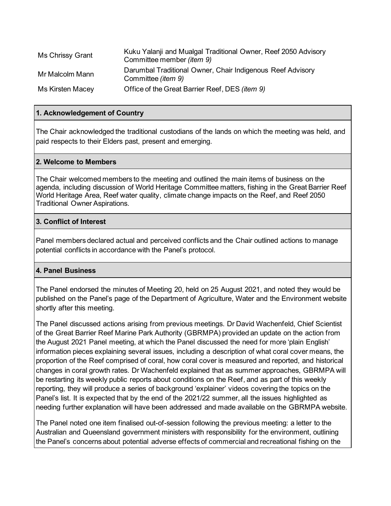| <b>Ms Chrissy Grant</b> | Kuku Yalanji and Mualgal Traditional Owner, Reef 2050 Advisory<br>Committee member ( <i>item 9</i> ) |
|-------------------------|------------------------------------------------------------------------------------------------------|
| Mr Malcolm Mann         | Darumbal Traditional Owner, Chair Indigenous Reef Advisory<br>Committee ( <i>item 9</i> )            |
| Ms Kirsten Macey        | Office of the Great Barrier Reef, DES (item 9)                                                       |

## **1. Acknowledgement of Country**

The Chair acknowledged the traditional custodians of the lands on which the meeting was held, and paid respects to their Elders past, present and emerging.

#### **2. Welcome to Members**

The Chair welcomed members to the meeting and outlined the main items of business on the agenda, including discussion of World Heritage Committee matters, fishing in the Great Barrier Reef World Heritage Area, Reef water quality, climate change impacts on the Reef, and Reef 2050 Traditional Owner Aspirations.

#### **3. Conflict of Interest**

Panel members declared actual and perceived conflicts and the Chair outlined actions to manage potential conflicts in accordance with the Panel's protocol.

#### **4. Panel Business**

The Panel endorsed the minutes of Meeting 20, held on 25 August 2021, and noted they would be published on the Panel's page of the Department of Agriculture, Water and the Environment website shortly after this meeting.

The Panel discussed actions arising from previous meetings. Dr David Wachenfeld, Chief Scientist of the Great Barrier Reef Marine Park Authority (GBRMPA) provided an update on the action from the August 2021 Panel meeting, at which the Panel discussed the need for more 'plain English' information pieces explaining several issues, including a description of what coral cover means, the proportion of the Reef comprised of coral, how coral cover is measured and reported, and historical changes in coral growth rates. Dr Wachenfeld explained that as summer approaches, GBRMPA will be restarting its weekly public reports about conditions on the Reef, and as part of this weekly reporting, they will produce a series of background 'explainer' videos covering the topics on the Panel's list. It is expected that by the end of the 2021/22 summer, all the issues highlighted as needing further explanation will have been addressed and made available on the GBRMPA website.

The Panel noted one item finalised out-of-session following the previous meeting: a letter to the Australian and Queensland government ministers with responsibility for the environment, outlining the Panel's concerns about potential adverse effects of commercial and recreational fishing on the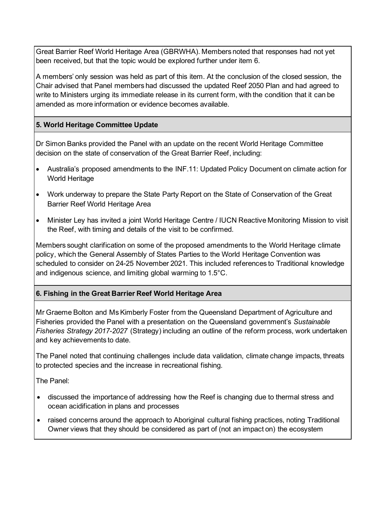Great Barrier Reef World Heritage Area (GBRWHA). Members noted that responses had not yet been received, but that the topic would be explored further under item 6.

A members' only session was held as part of this item. At the conclusion of the closed session, the Chair advised that Panel members had discussed the updated Reef 2050 Plan and had agreed to write to Ministers urging its immediate release in its current form, with the condition that it can be amended as more information or evidence becomes available.

# **5. World Heritage Committee Update**

Dr Simon Banks provided the Panel with an update on the recent World Heritage Committee decision on the state of conservation of the Great Barrier Reef, including:

- Australia's proposed amendments to the INF.11: Updated Policy Document on climate action for World Heritage
- Work underway to prepare the State Party Report on the State of Conservation of the Great Barrier Reef World Heritage Area
- Minister Ley has invited a joint World Heritage Centre / IUCN Reactive Monitoring Mission to visit the Reef, with timing and details of the visit to be confirmed.

Members sought clarification on some of the proposed amendments to the World Heritage climate policy, which the General Assembly of States Parties to the World Heritage Convention was scheduled to consider on 24-25 November 2021. This included references to Traditional knowledge and indigenous science, and limiting global warming to 1.5°C.

# **6. Fishing in the Great Barrier Reef World Heritage Area**

Mr Graeme Bolton and Ms Kimberly Foster from the Queensland Department of Agriculture and Fisheries provided the Panel with a presentation on the Queensland government's *Sustainable Fisheries Strategy 2017-2027* (Strategy) including an outline of the reform process, work undertaken and key achievements to date.

The Panel noted that continuing challenges include data validation, climate change impacts, threats to protected species and the increase in recreational fishing.

The Panel:

- discussed the importance of addressing how the Reef is changing due to thermal stress and ocean acidification in plans and processes
- raised concerns around the approach to Aboriginal cultural fishing practices, noting Traditional Owner views that they should be considered as part of (not an impact on) the ecosystem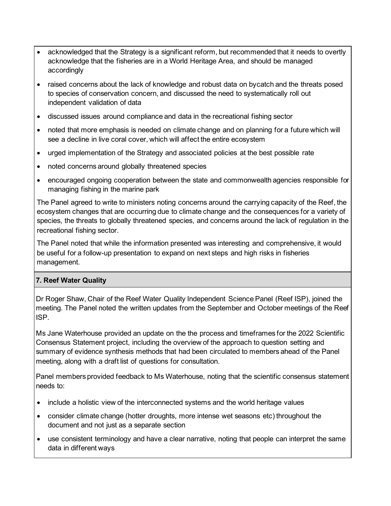- acknowledged that the Strategy is a significant reform, but recommended that it needs to overtly acknowledge that the fisheries are in a World Heritage Area, and should be managed accordingly
- raised concerns about the lack of knowledge and robust data on bycatch and the threats posed to species of conservation concern, and discussed the need to systematically roll out independent validation of data
- discussed issues around compliance and data in the recreational fishing sector
- noted that more emphasis is needed on climate change and on planning for a future which will see a decline in live coral cover, which will affect the entire ecosystem
- urged implementation of the Strategy and associated policies at the best possible rate
- noted concerns around globally threatened species
- encouraged ongoing cooperation between the state and commonwealth agencies responsible for managing fishing in the marine park

The Panel agreed to write to ministers noting concerns around the carrying capacity of the Reef, the ecosystem changes that are occurring due to climate change and the consequences for a variety of species, the threats to globally threatened species, and concerns around the lack of regulation in the recreational fishing sector.

The Panel noted that while the information presented was interesting and comprehensive, it would be useful for a follow-up presentation to expand on next steps and high risks in fisheries management.

## **7. Reef Water Quality**

Dr Roger Shaw, Chair of the Reef Water Quality Independent Science Panel (Reef ISP), joined the meeting. The Panel noted the written updates from the September and October meetings of the Reef ISP.

Ms Jane Waterhouse provided an update on the the process and timeframes for the 2022 Scientific Consensus Statement project, including the overview of the approach to question setting and summary of evidence synthesis methods that had been circulated to members ahead of the Panel meeting, along with a draft list of questions for consultation.

Panel members provided feedback to Ms Waterhouse, noting that the scientific consensus statement needs to:

- include a holistic view of the interconnected systems and the world heritage values
- consider climate change (hotter droughts, more intense wet seasons etc) throughout the document and not just as a separate section
- use consistent terminology and have a clear narrative, noting that people can interpret the same data in different ways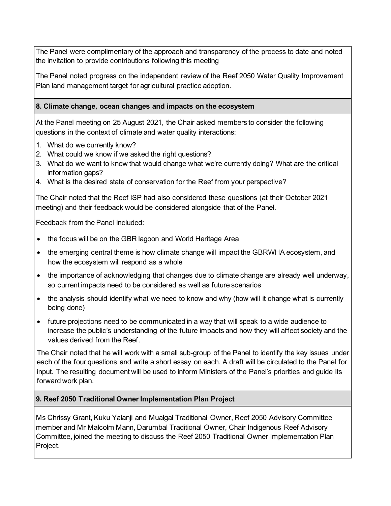The Panel were complimentary of the approach and transparency of the process to date and noted the invitation to provide contributions following this meeting

The Panel noted progress on the independent review of the Reef 2050 Water Quality Improvement Plan land management target for agricultural practice adoption.

# **8. Climate change, ocean changes and impacts on the ecosystem**

At the Panel meeting on 25 August 2021, the Chair asked members to consider the following questions in the context of climate and water quality interactions:

- 1. What do we currently know?
- 2. What could we know if we asked the right questions?
- 3. What do we want to know that would change what we're currently doing? What are the critical information gaps?
- 4. What is the desired state of conservation for the Reef from your perspective?

The Chair noted that the Reef ISP had also considered these questions (at their October 2021 meeting) and their feedback would be considered alongside that of the Panel.

Feedback from the Panel included:

- the focus will be on the GBR lagoon and World Heritage Area
- the emerging central theme is how climate change will impact the GBRWHA ecosystem, and how the ecosystem will respond as a whole
- the importance of acknowledging that changes due to climate change are already well underway, so current impacts need to be considered as well as future scenarios
- the analysis should identify what we need to know and why (how will it change what is currently being done)
- future projections need to be communicated in a way that will speak to a wide audience to increase the public's understanding of the future impacts and how they will affect society and the values derived from the Reef.

The Chair noted that he will work with a small sub-group of the Panel to identify the key issues under each of the four questions and write a short essay on each. A draft will be circulated to the Panel for input. The resulting document will be used to inform Ministers of the Panel's priorities and guide its forward work plan.

# **9. Reef 2050 Traditional Owner Implementation Plan Project**

Ms Chrissy Grant, Kuku Yalanji and Mualgal Traditional Owner, Reef 2050 Advisory Committee member and Mr Malcolm Mann, Darumbal Traditional Owner, Chair Indigenous Reef Advisory Committee, joined the meeting to discuss the Reef 2050 Traditional Owner Implementation Plan Project.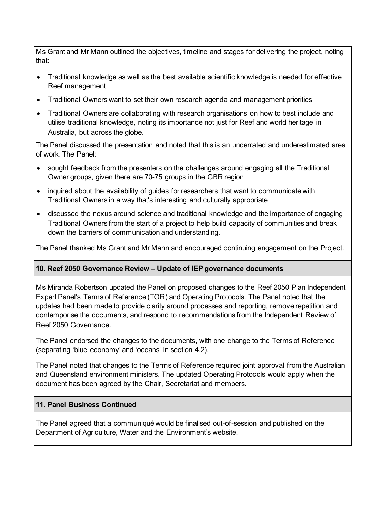Ms Grant and Mr Mann outlined the objectives, timeline and stages for delivering the project, noting that:

- Traditional knowledge as well as the best available scientific knowledge is needed for effective Reef management
- Traditional Owners want to set their own research agenda and management priorities
- Traditional Owners are collaborating with research organisations on how to best include and utilise traditional knowledge, noting its importance not just for Reef and world heritage in Australia, but across the globe.

The Panel discussed the presentation and noted that this is an underrated and underestimated area of work. The Panel:

- sought feedback from the presenters on the challenges around engaging all the Traditional Owner groups, given there are 70-75 groups in the GBR region
- inquired about the availability of guides for researchers that want to communicate with Traditional Owners in a way that's interesting and culturally appropriate
- discussed the nexus around science and traditional knowledge and the importance of engaging Traditional Owners from the start of a project to help build capacity of communities and break down the barriers of communication and understanding.

The Panel thanked Ms Grant and Mr Mann and encouraged continuing engagement on the Project.

# **10. Reef 2050 Governance Review – Update of IEP governance documents**

Ms Miranda Robertson updated the Panel on proposed changes to the Reef 2050 Plan Independent Expert Panel's Terms of Reference (TOR) and Operating Protocols. The Panel noted that the updates had been made to provide clarity around processes and reporting, remove repetition and contemporise the documents, and respond to recommendations from the Independent Review of Reef 2050 Governance.

The Panel endorsed the changes to the documents, with one change to the Terms of Reference (separating 'blue economy' and 'oceans' in section 4.2).

The Panel noted that changes to the Terms of Reference required joint approval from the Australian and Queensland environment ministers. The updated Operating Protocols would apply when the document has been agreed by the Chair, Secretariat and members.

# **11. Panel Business Continued**

The Panel agreed that a communiqué would be finalised out-of-session and published on the Department of Agriculture, Water and the Environment's website.